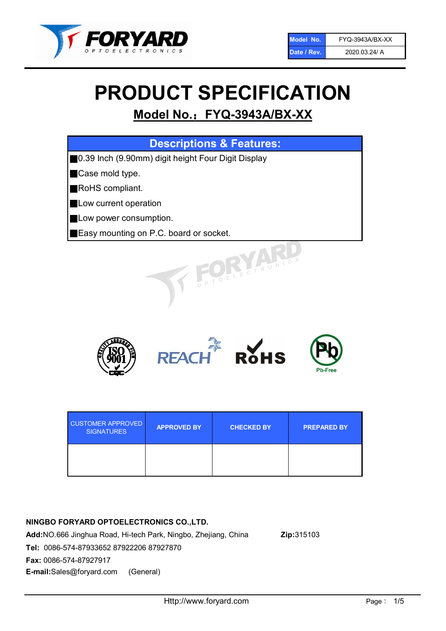

# PRODUCT SPECIFICATION

# Model No.: FYQ-3943A/BX-XX

| <b>Descriptions &amp; Features:</b>                |
|----------------------------------------------------|
| 0.39 Inch (9.90mm) digit height Four Digit Display |
| Case mold type.                                    |
| RoHS compliant.                                    |
| Low current operation                              |
| Low power consumption.                             |
| Easy mounting on P.C. board or socket.             |
| TOELECTRONIC                                       |



| <b>CUSTOMER APPROVED</b><br><b>SIGNATURES</b> | <b>APPROVED BY</b> | <b>CHECKED BY</b> | <b>PREPARED BY</b> |
|-----------------------------------------------|--------------------|-------------------|--------------------|
|                                               |                    |                   |                    |

# NINGBO FORYARD OPTOELECTRONICS CO.,LTD.

Add:NO.666 Jinghua Road, Hi-tech Park, Ningbo, Zhejiang, China Zip:315103 Tel: 0086-574-87933652 87922206 87927870 Fax: 0086-574-87927917 E-mail:Sales@foryard.com (General)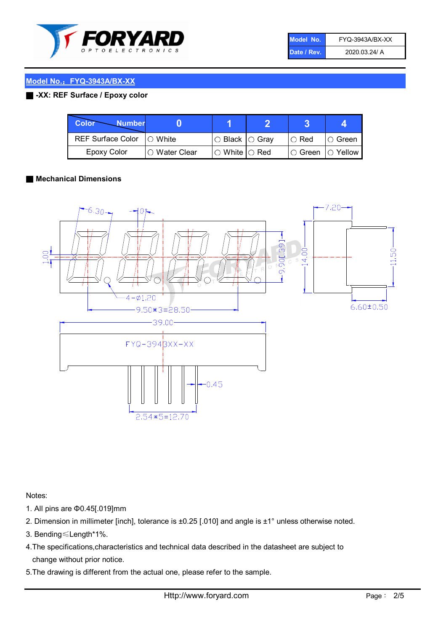

| Model No.   | FYQ-3943A/BX-XX |
|-------------|-----------------|
| Date / Rev. | 2020.03.24/ A   |

### ■ -XX: REF Surface / Epoxy color

| <b>Color</b><br><b>Number</b> |               |                           |                    |          |
|-------------------------------|---------------|---------------------------|--------------------|----------|
| REF Surface Color   O White   |               | ○ Black  ○ Gray           | I⊖ Red             | ∣O Green |
| Epoxy Color                   | ○ Water Clear | $\circ$ White $\circ$ Red | I○ Green  ○ Yellow |          |

#### ■ Mechanical Dimensions



Notes:

- 1. All pins are Φ0.45[.019]mm
- 2. Dimension in millimeter [inch], tolerance is ±0.25 [.010] and angle is ±1° unless otherwise noted.
- 3. Bending≤Length\*1%.
- 4.The specifications,characteristics and technical data described in the datasheet are subject to change without prior notice.
- 5.The drawing is different from the actual one, please refer to the sample.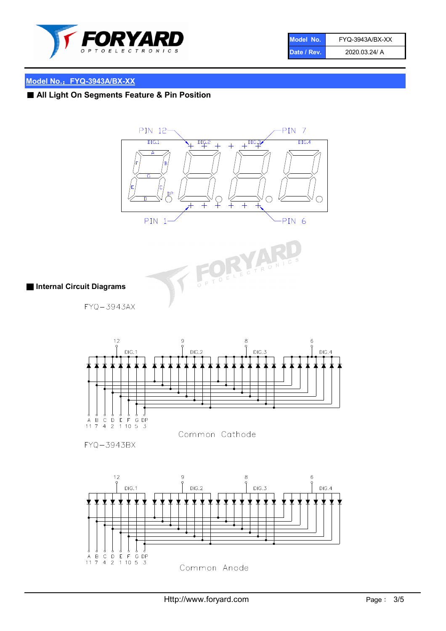

| Model No.   | FYQ-3943A/BX-XX |
|-------------|-----------------|
| Date / Rev. | 2020.03.24/ A   |

# ■ All Light On Segments Feature & Pin Position





# ■ Internal Circuit Diagrams

 $FYQ - 3943AX$ 



FYQ-3943BX

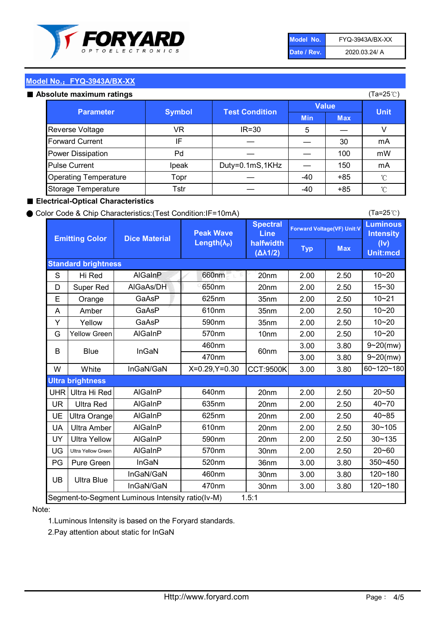

| Model No.   | FYQ-3943A/BX-XX |
|-------------|-----------------|
| Date / Rev. | 2020.03.24/ A   |

#### Absolute maximum

| ISUIULU IIIAAIIIIUIIII TALIIIYS |               |                       |              | (⊺a−∠J ∪ <i>)</i> |              |
|---------------------------------|---------------|-----------------------|--------------|-------------------|--------------|
| <b>Parameter</b>                | <b>Symbol</b> | <b>Test Condition</b> | <b>Value</b> |                   | <b>Unit</b>  |
|                                 |               |                       | <b>Min</b>   | <b>Max</b>        |              |
| Reverse Voltage                 | VR            | $IR = 30$             | 5            |                   |              |
| <b>Forward Current</b>          | ΙF            |                       |              | 30                | mA           |
| Power Dissipation               | Pd            |                       |              | 100               | mW           |
| <b>Pulse Current</b>            | Ipeak         | Duty=0.1mS,1KHz       |              | 150               | mA           |
| <b>Operating Temperature</b>    | Topr          |                       | $-40$        | $+85$             | $^{\circ}$ C |
| Storage Temperature             | Tstr          |                       | $-40$        | $+85$             | °C           |

#### ■ Electrical-Optical Characteristics

#### ● Color Code & Chip Characteristics:(Test Condition:IF=10mA)

Typ Max S | Hi $\textsf{Red}$  | AlGaInP | 660nm LE 20nm | 2.00 | 2.50 D | Super Red | AIGaAs/DH | 650nm | 20nm | 2.00 | 2.50 E | Orange | GaAsP | 625nm | 35nm | 2.00 | 2.50 A | Amber | GaAsP | 610nm | 35nm | 2.00 | 2.50 Y | Yellow | GaAsP | 590nm | 35nm | 2.00 | 2.50 G Yellow Green AIGaInP | 570nm | 10nm | 2.00 | 2.50 3.00 3.80 3.00 3.80 W | White | InGaN/GaN | X=0.29,Y=0.30 |CCT:9500K| 3.00 | 3.80 UHR Ultra Hi Red  $\vert$  AIGaInP  $\vert$  640nm  $\vert$  20nm  $\vert$  2.00  $\vert$  2.50 UR | Ultra Red | AlGaInP | 635nm | 20nm | 2.00 | 2.50 UE Ultra Orange | AIGaInP | 625nm | 20nm | 2.00 | 2.50 UA Ultra Amber | AIGaInP | 610nm | 20nm | 2.00 | 2.50  $UV$  Ultra Yellow  $\vert$  AlGaInP  $\vert$  590nm  $\vert$  20nm  $\vert$  2.00  $\vert$  2.50  $\text{UG}$  Ultra Yellow Green | AIGaInP | 570nm | 30nm | 2.00 | 2.50 PG Pure Green | InGaN | 520nm | 36nm | 3.00 | 3.80 30nm 3.00 3.80 30nm 3.00 3.80 40~85 60~120~180 40~70 Segment-to-Segment Luminous Intensity ratio(Iv-M) 1.5:1 610nm 9~20(mw) 350~450 470nm 120~180 120~180 Ultra Blue InGaN/GaN 9~20(mw) 20~50 570nm | 30nm | 2.00 | 2.50 | 20~60 470nm 590nm InGaN/GaN B Blue I InGaN 570nm | 10nm | 2.00 | 2.50 | 10~20 30~105 30~135 460nm 520nm Ultra brightness **AlGaInP** AlGaInP 60nm AlGaInP 640nm Peak Wave Length $(\lambda_{\rm P})$ UB 460nm 635nm AlGaInP AlGaInP AlGaInP InGaN/GaN AlGaInP 10~20 Luminous **Intensity** (Iv) Unit:mcd AlGainP 660nm GaAsP GaAsP AlGaAs/DH **Spectral** Line halfwidth (∆λ1/2) 10~20 Standard brightness Forward Voltage(VF) Unit:V 15~30 10~20 625nm GaAsP 590nm **Emitting Color Dice Material** 10~21 610nm

#### Note:

1.Luminous Intensity is based on the Foryard standards.

2.Pay attention about static for InGaN

(Ta=25℃)

(Ta=25℃)